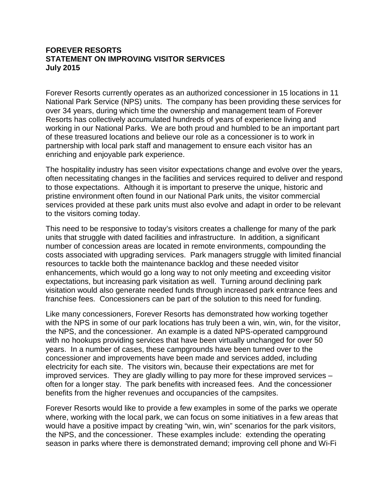### **FOREVER RESORTS STATEMENT ON IMPROVING VISITOR SERVICES July 2015**

Forever Resorts currently operates as an authorized concessioner in 15 locations in 11 National Park Service (NPS) units. The company has been providing these services for over 34 years, during which time the ownership and management team of Forever Resorts has collectively accumulated hundreds of years of experience living and working in our National Parks. We are both proud and humbled to be an important part of these treasured locations and believe our role as a concessioner is to work in partnership with local park staff and management to ensure each visitor has an enriching and enjoyable park experience.

The hospitality industry has seen visitor expectations change and evolve over the years, often necessitating changes in the facilities and services required to deliver and respond to those expectations. Although it is important to preserve the unique, historic and pristine environment often found in our National Park units, the visitor commercial services provided at these park units must also evolve and adapt in order to be relevant to the visitors coming today.

This need to be responsive to today's visitors creates a challenge for many of the park units that struggle with dated facilities and infrastructure. In addition, a significant number of concession areas are located in remote environments, compounding the costs associated with upgrading services. Park managers struggle with limited financial resources to tackle both the maintenance backlog and these needed visitor enhancements, which would go a long way to not only meeting and exceeding visitor expectations, but increasing park visitation as well. Turning around declining park visitation would also generate needed funds through increased park entrance fees and franchise fees. Concessioners can be part of the solution to this need for funding.

Like many concessioners, Forever Resorts has demonstrated how working together with the NPS in some of our park locations has truly been a win, win, win, for the visitor, the NPS, and the concessioner. An example is a dated NPS-operated campground with no hookups providing services that have been virtually unchanged for over 50 years. In a number of cases, these campgrounds have been turned over to the concessioner and improvements have been made and services added, including electricity for each site. The visitors win, because their expectations are met for improved services. They are gladly willing to pay more for these improved services – often for a longer stay. The park benefits with increased fees. And the concessioner benefits from the higher revenues and occupancies of the campsites.

Forever Resorts would like to provide a few examples in some of the parks we operate where, working with the local park, we can focus on some initiatives in a few areas that would have a positive impact by creating "win, win, win" scenarios for the park visitors, the NPS, and the concessioner. These examples include: extending the operating season in parks where there is demonstrated demand; improving cell phone and Wi-Fi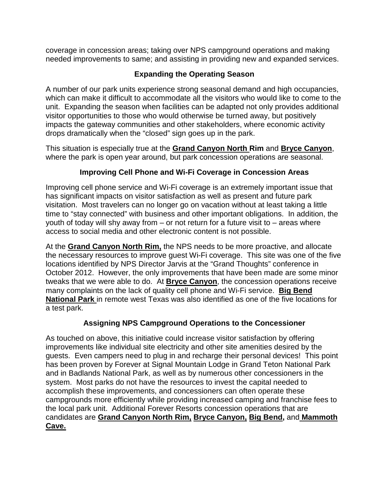coverage in concession areas; taking over NPS campground operations and making needed improvements to same; and assisting in providing new and expanded services.

## **Expanding the Operating Season**

A number of our park units experience strong seasonal demand and high occupancies, which can make it difficult to accommodate all the visitors who would like to come to the unit. Expanding the season when facilities can be adapted not only provides additional visitor opportunities to those who would otherwise be turned away, but positively impacts the gateway communities and other stakeholders, where economic activity drops dramatically when the "closed" sign goes up in the park.

This situation is especially true at the **Grand Canyon North Rim** and **Bryce Canyon**, where the park is open year around, but park concession operations are seasonal.

# **Improving Cell Phone and Wi-Fi Coverage in Concession Areas**

Improving cell phone service and Wi-Fi coverage is an extremely important issue that has significant impacts on visitor satisfaction as well as present and future park visitation. Most travelers can no longer go on vacation without at least taking a little time to "stay connected" with business and other important obligations. In addition, the youth of today will shy away from – or not return for a future visit to – areas where access to social media and other electronic content is not possible.

At the **Grand Canyon North Rim,** the NPS needs to be more proactive, and allocate the necessary resources to improve guest Wi-Fi coverage. This site was one of the five locations identified by NPS Director Jarvis at the "Grand Thoughts" conference in October 2012. However, the only improvements that have been made are some minor tweaks that we were able to do. At **Bryce Canyon**, the concession operations receive many complaints on the lack of quality cell phone and Wi-Fi service. **Big Bend National Park** in remote west Texas was also identified as one of the five locations for a test park.

### **Assigning NPS Campground Operations to the Concessioner**

As touched on above, this initiative could increase visitor satisfaction by offering improvements like individual site electricity and other site amenities desired by the guests. Even campers need to plug in and recharge their personal devices! This point has been proven by Forever at Signal Mountain Lodge in Grand Teton National Park and in Badlands National Park, as well as by numerous other concessioners in the system. Most parks do not have the resources to invest the capital needed to accomplish these improvements, and concessioners can often operate these campgrounds more efficiently while providing increased camping and franchise fees to the local park unit. Additional Forever Resorts concession operations that are candidates are **Grand Canyon North Rim, Bryce Canyon, Big Bend,** and **Mammoth Cave.**